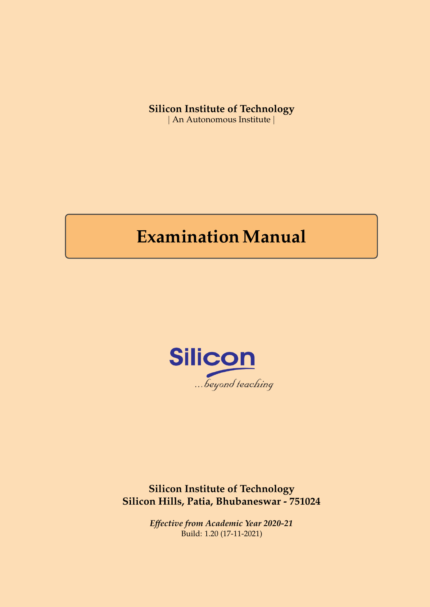# **Silicon Institute of Technology**

| An Autonomous Institute |

# **Examination Manual**



**Silicon Institute of Technology Silicon Hills, Patia, Bhubaneswar - 751024**

> *Effective from Academic Year 2020-21* Build: 1.20 (17-11-2021)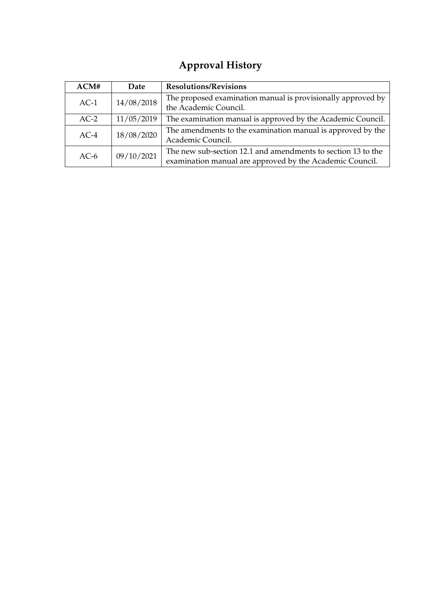# **Approval History**

| ACM#   | Date       | <b>Resolutions/Revisions</b>                                                                                             |  |
|--------|------------|--------------------------------------------------------------------------------------------------------------------------|--|
| $AC-1$ | 14/08/2018 | The proposed examination manual is provisionally approved by<br>the Academic Council.                                    |  |
| $AC-2$ | 11/05/2019 | The examination manual is approved by the Academic Council.                                                              |  |
| $AC-4$ | 18/08/2020 | The amendments to the examination manual is approved by the<br>Academic Council.                                         |  |
| $AC-6$ | 09/10/2021 | The new sub-section 12.1 and amendments to section 13 to the<br>examination manual are approved by the Academic Council. |  |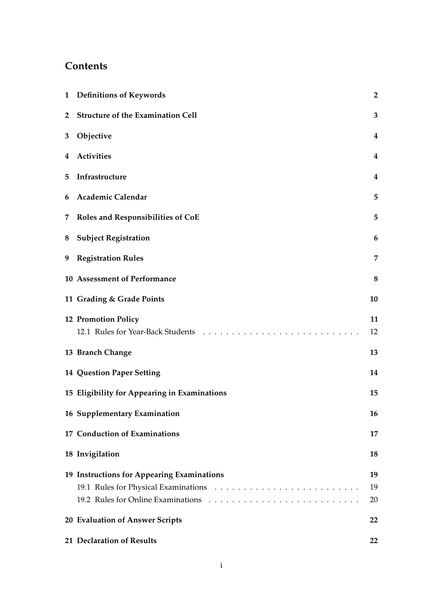# **Contents**

|                | 1 Definitions of Keywords                    | $\overline{2}$ |
|----------------|----------------------------------------------|----------------|
| $\overline{2}$ | <b>Structure of the Examination Cell</b>     | 3              |
| 3              | Objective                                    | 4              |
| 4              | <b>Activities</b>                            | 4              |
| 5              | Infrastructure                               | 4              |
| 6              | <b>Academic Calendar</b>                     | 5              |
| 7              | <b>Roles and Responsibilities of CoE</b>     | 5              |
| 8              | <b>Subject Registration</b>                  | 6              |
|                | 9 Registration Rules                         | 7              |
|                | 10 Assessment of Performance                 | 8              |
|                | 11 Grading & Grade Points                    | 10             |
|                | <b>12 Promotion Policy</b>                   | 11<br>12       |
|                | 13 Branch Change                             | 13             |
|                | <b>14 Question Paper Setting</b>             | 14             |
|                | 15 Eligibility for Appearing in Examinations | 15             |
|                | 16 Supplementary Examination                 | 16             |
|                | 17 Conduction of Examinations                | 17             |
|                | 18 Invigilation                              | 18             |
|                | 19 Instructions for Appearing Examinations   | 19<br>19<br>20 |
|                | 20 Evaluation of Answer Scripts              | 22             |
|                | 21 Declaration of Results                    | 22             |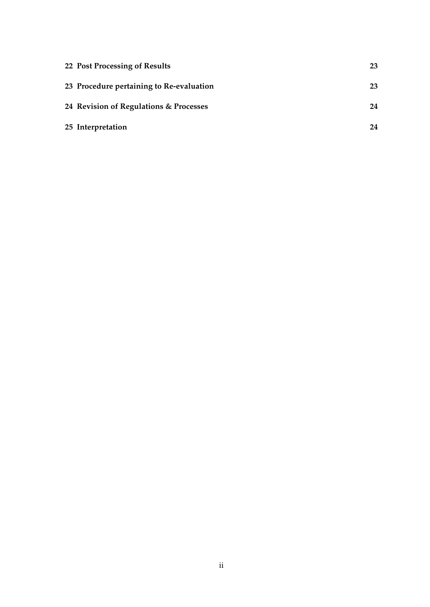| 22 Post Processing of Results            | 23 |
|------------------------------------------|----|
| 23 Procedure pertaining to Re-evaluation | 23 |
| 24 Revision of Regulations & Processes   | 24 |
| 25 Interpretation                        | 24 |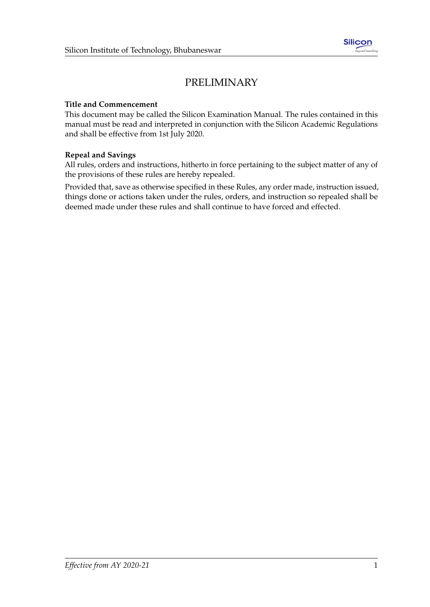# PRELIMINARY

#### **Title and Commencement**

This document may be called the Silicon Examination Manual. The rules contained in this manual must be read and interpreted in conjunction with the Silicon Academic Regulations and shall be effective from 1st July 2020.

#### **Repeal and Savings**

All rules, orders and instructions, hitherto in force pertaining to the subject matter of any of the provisions of these rules are hereby repealed.

Provided that, save as otherwise specified in these Rules, any order made, instruction issued, things done or actions taken under the rules, orders, and instruction so repealed shall be deemed made under these rules and shall continue to have forced and effected.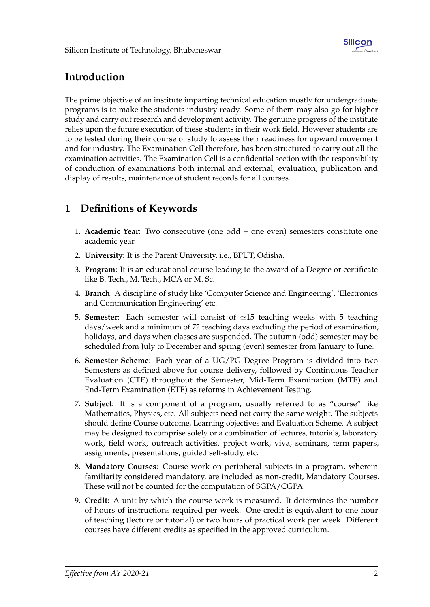# **Introduction**

The prime objective of an institute imparting technical education mostly for undergraduate programs is to make the students industry ready. Some of them may also go for higher study and carry out research and development activity. The genuine progress of the institute relies upon the future execution of these students in their work field. However students are to be tested during their course of study to assess their readiness for upward movement and for industry. The Examination Cell therefore, has been structured to carry out all the examination activities. The Examination Cell is a confidential section with the responsibility of conduction of examinations both internal and external, evaluation, publication and display of results, maintenance of student records for all courses.

# <span id="page-5-0"></span>**1 Definitions of Keywords**

- 1. **Academic Year**: Two consecutive (one odd + one even) semesters constitute one academic year.
- 2. **University**: It is the Parent University, i.e., BPUT, Odisha.
- 3. **Program**: It is an educational course leading to the award of a Degree or certificate like B. Tech., M. Tech., MCA or M. Sc.
- 4. **Branch**: A discipline of study like 'Computer Science and Engineering', 'Electronics and Communication Engineering' etc.
- 5. **Semester**: Each semester will consist of  $\simeq$  15 teaching weeks with 5 teaching days/week and a minimum of 72 teaching days excluding the period of examination, holidays, and days when classes are suspended. The autumn (odd) semester may be scheduled from July to December and spring (even) semester from January to June.
- 6. **Semester Scheme**: Each year of a UG/PG Degree Program is divided into two Semesters as defined above for course delivery, followed by Continuous Teacher Evaluation (CTE) throughout the Semester, Mid-Term Examination (MTE) and End-Term Examination (ETE) as reforms in Achievement Testing.
- 7. **Subject**: It is a component of a program, usually referred to as "course" like Mathematics, Physics, etc. All subjects need not carry the same weight. The subjects should define Course outcome, Learning objectives and Evaluation Scheme. A subject may be designed to comprise solely or a combination of lectures, tutorials, laboratory work, field work, outreach activities, project work, viva, seminars, term papers, assignments, presentations, guided self-study, etc.
- 8. **Mandatory Courses**: Course work on peripheral subjects in a program, wherein familiarity considered mandatory, are included as non-credit, Mandatory Courses. These will not be counted for the computation of SGPA/CGPA.
- 9. **Credit**: A unit by which the course work is measured. It determines the number of hours of instructions required per week. One credit is equivalent to one hour of teaching (lecture or tutorial) or two hours of practical work per week. Different courses have different credits as specified in the approved curriculum.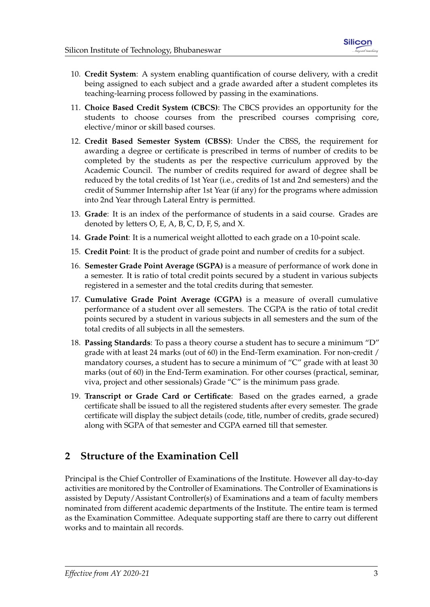- 10. **Credit System**: A system enabling quantification of course delivery, with a credit being assigned to each subject and a grade awarded after a student completes its teaching-learning process followed by passing in the examinations.
- 11. **Choice Based Credit System (CBCS)**: The CBCS provides an opportunity for the students to choose courses from the prescribed courses comprising core, elective/minor or skill based courses.
- 12. **Credit Based Semester System (CBSS)**: Under the CBSS, the requirement for awarding a degree or certificate is prescribed in terms of number of credits to be completed by the students as per the respective curriculum approved by the Academic Council. The number of credits required for award of degree shall be reduced by the total credits of 1st Year (i.e., credits of 1st and 2nd semesters) and the credit of Summer Internship after 1st Year (if any) for the programs where admission into 2nd Year through Lateral Entry is permitted.
- 13. **Grade**: It is an index of the performance of students in a said course. Grades are denoted by letters O, E, A, B, C, D, F, S, and X.
- 14. **Grade Point**: It is a numerical weight allotted to each grade on a 10-point scale.
- 15. **Credit Point**: It is the product of grade point and number of credits for a subject.
- 16. **Semester Grade Point Average (SGPA)** is a measure of performance of work done in a semester. It is ratio of total credit points secured by a student in various subjects registered in a semester and the total credits during that semester.
- 17. **Cumulative Grade Point Average (CGPA)** is a measure of overall cumulative performance of a student over all semesters. The CGPA is the ratio of total credit points secured by a student in various subjects in all semesters and the sum of the total credits of all subjects in all the semesters.
- 18. **Passing Standards**: To pass a theory course a student has to secure a minimum "D" grade with at least 24 marks (out of 60) in the End-Term examination. For non-credit / mandatory courses, a student has to secure a minimum of "C" grade with at least 30 marks (out of 60) in the End-Term examination. For other courses (practical, seminar, viva, project and other sessionals) Grade "C" is the minimum pass grade.
- 19. **Transcript or Grade Card or Certificate**: Based on the grades earned, a grade certificate shall be issued to all the registered students after every semester. The grade certificate will display the subject details (code, title, number of credits, grade secured) along with SGPA of that semester and CGPA earned till that semester.

## <span id="page-6-0"></span>**2 Structure of the Examination Cell**

Principal is the Chief Controller of Examinations of the Institute. However all day-to-day activities are monitored by the Controller of Examinations. The Controller of Examinations is assisted by Deputy/Assistant Controller(s) of Examinations and a team of faculty members nominated from different academic departments of the Institute. The entire team is termed as the Examination Committee. Adequate supporting staff are there to carry out different works and to maintain all records.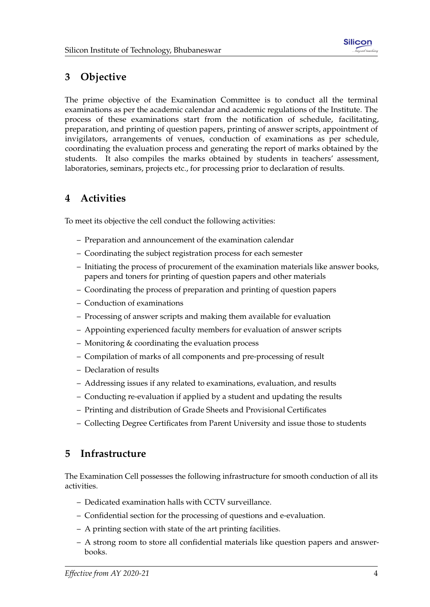# <span id="page-7-0"></span>**3 Objective**

The prime objective of the Examination Committee is to conduct all the terminal examinations as per the academic calendar and academic regulations of the Institute. The process of these examinations start from the notification of schedule, facilitating, preparation, and printing of question papers, printing of answer scripts, appointment of invigilators, arrangements of venues, conduction of examinations as per schedule, coordinating the evaluation process and generating the report of marks obtained by the students. It also compiles the marks obtained by students in teachers' assessment, laboratories, seminars, projects etc., for processing prior to declaration of results.

# <span id="page-7-1"></span>**4 Activities**

To meet its objective the cell conduct the following activities:

- Preparation and announcement of the examination calendar
- Coordinating the subject registration process for each semester
- Initiating the process of procurement of the examination materials like answer books, papers and toners for printing of question papers and other materials
- Coordinating the process of preparation and printing of question papers
- Conduction of examinations
- Processing of answer scripts and making them available for evaluation
- Appointing experienced faculty members for evaluation of answer scripts
- Monitoring & coordinating the evaluation process
- Compilation of marks of all components and pre-processing of result
- Declaration of results
- Addressing issues if any related to examinations, evaluation, and results
- Conducting re-evaluation if applied by a student and updating the results
- Printing and distribution of Grade Sheets and Provisional Certificates
- Collecting Degree Certificates from Parent University and issue those to students

### <span id="page-7-2"></span>**5 Infrastructure**

The Examination Cell possesses the following infrastructure for smooth conduction of all its activities.

- Dedicated examination halls with CCTV surveillance.
- Confidential section for the processing of questions and e-evaluation.
- A printing section with state of the art printing facilities.
- A strong room to store all confidential materials like question papers and answerbooks.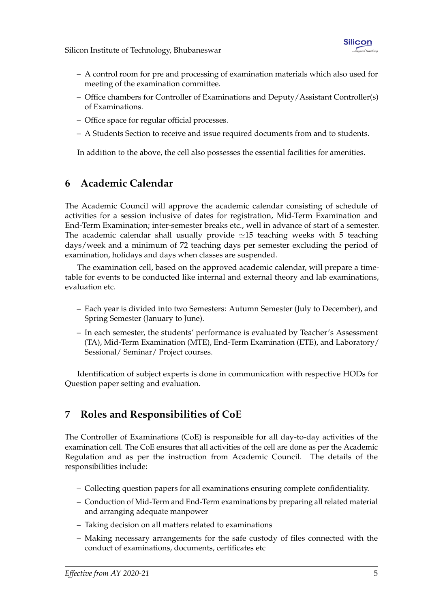- A control room for pre and processing of examination materials which also used for meeting of the examination committee.
- Office chambers for Controller of Examinations and Deputy/Assistant Controller(s) of Examinations.
- Office space for regular official processes.
- A Students Section to receive and issue required documents from and to students.

In addition to the above, the cell also possesses the essential facilities for amenities.

# <span id="page-8-0"></span>**6 Academic Calendar**

The Academic Council will approve the academic calendar consisting of schedule of activities for a session inclusive of dates for registration, Mid-Term Examination and End-Term Examination; inter-semester breaks etc., well in advance of start of a semester. The academic calendar shall usually provide  $\simeq$ 15 teaching weeks with 5 teaching days/week and a minimum of 72 teaching days per semester excluding the period of examination, holidays and days when classes are suspended.

The examination cell, based on the approved academic calendar, will prepare a timetable for events to be conducted like internal and external theory and lab examinations, evaluation etc.

- Each year is divided into two Semesters: Autumn Semester (July to December), and Spring Semester (January to June).
- In each semester, the students' performance is evaluated by Teacher's Assessment (TA), Mid-Term Examination (MTE), End-Term Examination (ETE), and Laboratory/ Sessional/ Seminar/ Project courses.

Identification of subject experts is done in communication with respective HODs for Question paper setting and evaluation.

# <span id="page-8-1"></span>**7 Roles and Responsibilities of CoE**

The Controller of Examinations (CoE) is responsible for all day-to-day activities of the examination cell. The CoE ensures that all activities of the cell are done as per the Academic Regulation and as per the instruction from Academic Council. The details of the responsibilities include:

- Collecting question papers for all examinations ensuring complete confidentiality.
- Conduction of Mid-Term and End-Term examinations by preparing all related material and arranging adequate manpower
- Taking decision on all matters related to examinations
- Making necessary arrangements for the safe custody of files connected with the conduct of examinations, documents, certificates etc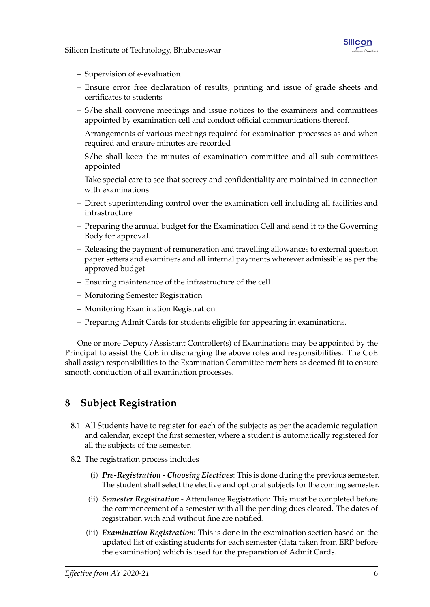

- Supervision of e-evaluation
- Ensure error free declaration of results, printing and issue of grade sheets and certificates to students
- S/he shall convene meetings and issue notices to the examiners and committees appointed by examination cell and conduct official communications thereof.
- Arrangements of various meetings required for examination processes as and when required and ensure minutes are recorded
- S/he shall keep the minutes of examination committee and all sub committees appointed
- Take special care to see that secrecy and confidentiality are maintained in connection with examinations
- Direct superintending control over the examination cell including all facilities and infrastructure
- Preparing the annual budget for the Examination Cell and send it to the Governing Body for approval.
- Releasing the payment of remuneration and travelling allowances to external question paper setters and examiners and all internal payments wherever admissible as per the approved budget
- Ensuring maintenance of the infrastructure of the cell
- Monitoring Semester Registration
- Monitoring Examination Registration
- Preparing Admit Cards for students eligible for appearing in examinations.

One or more Deputy/Assistant Controller(s) of Examinations may be appointed by the Principal to assist the CoE in discharging the above roles and responsibilities. The CoE shall assign responsibilities to the Examination Committee members as deemed fit to ensure smooth conduction of all examination processes.

## <span id="page-9-0"></span>**8 Subject Registration**

- 8.1 All Students have to register for each of the subjects as per the academic regulation and calendar, except the first semester, where a student is automatically registered for all the subjects of the semester.
- 8.2 The registration process includes
	- (i) *Pre-Registration Choosing Electives*: This is done during the previous semester. The student shall select the elective and optional subjects for the coming semester.
	- (ii) *Semester Registration* Attendance Registration: This must be completed before the commencement of a semester with all the pending dues cleared. The dates of registration with and without fine are notified.
	- (iii) *Examination Registration*: This is done in the examination section based on the updated list of existing students for each semester (data taken from ERP before the examination) which is used for the preparation of Admit Cards.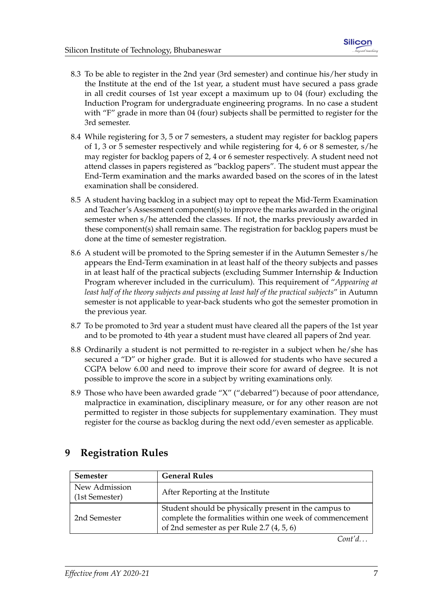- 8.3 To be able to register in the 2nd year (3rd semester) and continue his/her study in the Institute at the end of the 1st year, a student must have secured a pass grade in all credit courses of 1st year except a maximum up to 04 (four) excluding the Induction Program for undergraduate engineering programs. In no case a student with "F" grade in more than 04 (four) subjects shall be permitted to register for the 3rd semester.
- 8.4 While registering for 3, 5 or 7 semesters, a student may register for backlog papers of 1, 3 or 5 semester respectively and while registering for 4, 6 or 8 semester, s/he may register for backlog papers of 2, 4 or 6 semester respectively. A student need not attend classes in papers registered as "backlog papers". The student must appear the End-Term examination and the marks awarded based on the scores of in the latest examination shall be considered.
- 8.5 A student having backlog in a subject may opt to repeat the Mid-Term Examination and Teacher's Assessment component(s) to improve the marks awarded in the original semester when s/he attended the classes. If not, the marks previously awarded in these component(s) shall remain same. The registration for backlog papers must be done at the time of semester registration.
- 8.6 A student will be promoted to the Spring semester if in the Autumn Semester s/he appears the End-Term examination in at least half of the theory subjects and passes in at least half of the practical subjects (excluding Summer Internship & Induction Program wherever included in the curriculum). This requirement of "*Appearing at least half of the theory subjects and passing at least half of the practical subjects*" in Autumn semester is not applicable to year-back students who got the semester promotion in the previous year.
- 8.7 To be promoted to 3rd year a student must have cleared all the papers of the 1st year and to be promoted to 4th year a student must have cleared all papers of 2nd year.
- 8.8 Ordinarily a student is not permitted to re-register in a subject when he/she has secured a "D" or higher grade. But it is allowed for students who have secured a CGPA below 6.00 and need to improve their score for award of degree. It is not possible to improve the score in a subject by writing examinations only.
- 8.9 Those who have been awarded grade "X" ("debarred") because of poor attendance, malpractice in examination, disciplinary measure, or for any other reason are not permitted to register in those subjects for supplementary examination. They must register for the course as backlog during the next odd/even semester as applicable.

# <span id="page-10-0"></span>**9 Registration Rules**

| <b>Semester</b>                 | <b>General Rules</b>                                                                                                                                             |
|---------------------------------|------------------------------------------------------------------------------------------------------------------------------------------------------------------|
| New Admission<br>(1st Semester) | After Reporting at the Institute                                                                                                                                 |
| 2nd Semester                    | Student should be physically present in the campus to<br>complete the formalities within one week of commencement<br>of 2nd semester as per Rule 2.7 $(4, 5, 6)$ |

*Cont'd. . .*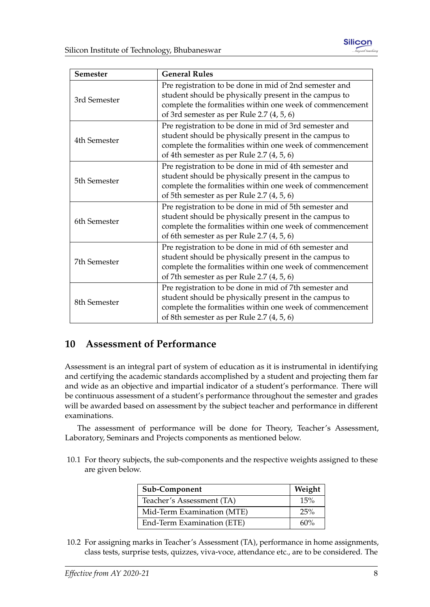

| <b>Semester</b> | <b>General Rules</b>                                     |  |  |  |
|-----------------|----------------------------------------------------------|--|--|--|
|                 | Pre registration to be done in mid of 2nd semester and   |  |  |  |
| 3rd Semester    | student should be physically present in the campus to    |  |  |  |
|                 | complete the formalities within one week of commencement |  |  |  |
|                 | of 3rd semester as per Rule 2.7 $(4, 5, 6)$              |  |  |  |
|                 | Pre registration to be done in mid of 3rd semester and   |  |  |  |
| 4th Semester    | student should be physically present in the campus to    |  |  |  |
|                 | complete the formalities within one week of commencement |  |  |  |
|                 | of 4th semester as per Rule 2.7 (4, 5, 6)                |  |  |  |
|                 | Pre registration to be done in mid of 4th semester and   |  |  |  |
| 5th Semester    | student should be physically present in the campus to    |  |  |  |
|                 | complete the formalities within one week of commencement |  |  |  |
|                 | of 5th semester as per Rule 2.7 $(4, 5, 6)$              |  |  |  |
|                 | Pre registration to be done in mid of 5th semester and   |  |  |  |
| 6th Semester    | student should be physically present in the campus to    |  |  |  |
|                 | complete the formalities within one week of commencement |  |  |  |
|                 | of 6th semester as per Rule 2.7 (4, 5, 6)                |  |  |  |
|                 | Pre registration to be done in mid of 6th semester and   |  |  |  |
| 7th Semester    | student should be physically present in the campus to    |  |  |  |
|                 | complete the formalities within one week of commencement |  |  |  |
|                 | of 7th semester as per Rule 2.7 (4, 5, 6)                |  |  |  |
|                 | Pre registration to be done in mid of 7th semester and   |  |  |  |
| 8th Semester    | student should be physically present in the campus to    |  |  |  |
|                 | complete the formalities within one week of commencement |  |  |  |
|                 | of 8th semester as per Rule 2.7 $(4, 5, 6)$              |  |  |  |

## <span id="page-11-0"></span>**10 Assessment of Performance**

Assessment is an integral part of system of education as it is instrumental in identifying and certifying the academic standards accomplished by a student and projecting them far and wide as an objective and impartial indicator of a student's performance. There will be continuous assessment of a student's performance throughout the semester and grades will be awarded based on assessment by the subject teacher and performance in different examinations.

The assessment of performance will be done for Theory, Teacher's Assessment, Laboratory, Seminars and Projects components as mentioned below.

10.1 For theory subjects, the sub-components and the respective weights assigned to these are given below.

| Sub-Component              | Weight |
|----------------------------|--------|
| Teacher's Assessment (TA)  | 15%    |
| Mid-Term Examination (MTE) | 25%    |
| End-Term Examination (ETE) | 60%    |

10.2 For assigning marks in Teacher's Assessment (TA), performance in home assignments, class tests, surprise tests, quizzes, viva-voce, attendance etc., are to be considered. The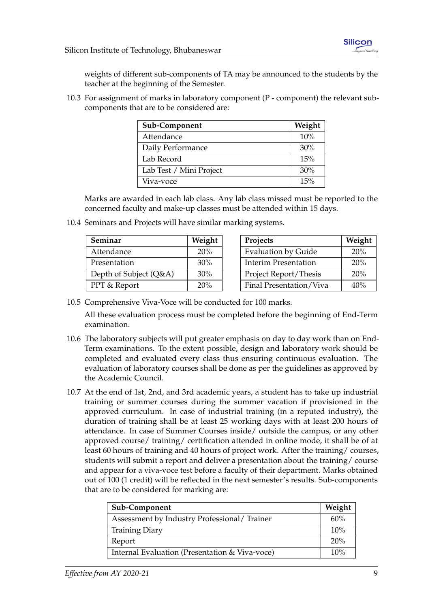weights of different sub-components of TA may be announced to the students by the teacher at the beginning of the Semester.

10.3 For assignment of marks in laboratory component (P - component) the relevant subcomponents that are to be considered are:

| Sub-Component           | Weight |
|-------------------------|--------|
| Attendance              | 10%    |
| Daily Performance       | 30%    |
| Lab Record              | 15%    |
| Lab Test / Mini Project | 30%    |
| Viva-voce               | 15%    |

Marks are awarded in each lab class. Any lab class missed must be reported to the concerned faculty and make-up classes must be attended within 15 days.

| Weight<br>Seminar       |        | Projects                    | Weight |
|-------------------------|--------|-----------------------------|--------|
| Attendance              | 20%    | <b>Evaluation by Guide</b>  | 20%    |
| Presentation            | 30%    | <b>Interim Presentation</b> | 20%    |
| Depth of Subject (Q&A)  | $30\%$ | Project Report/Thesis       | 20%    |
| <b>PPT &amp; Report</b> | 20%    | Final Presentation/Viva     | 40%    |

10.4 Seminars and Projects will have similar marking systems.

10.5 Comprehensive Viva-Voce will be conducted for 100 marks.

All these evaluation process must be completed before the beginning of End-Term examination.

- 10.6 The laboratory subjects will put greater emphasis on day to day work than on End-Term examinations. To the extent possible, design and laboratory work should be completed and evaluated every class thus ensuring continuous evaluation. The evaluation of laboratory courses shall be done as per the guidelines as approved by the Academic Council.
- 10.7 At the end of 1st, 2nd, and 3rd academic years, a student has to take up industrial training or summer courses during the summer vacation if provisioned in the approved curriculum. In case of industrial training (in a reputed industry), the duration of training shall be at least 25 working days with at least 200 hours of attendance. In case of Summer Courses inside/ outside the campus, or any other approved course/ training/ certification attended in online mode, it shall be of at least 60 hours of training and 40 hours of project work. After the training/ courses, students will submit a report and deliver a presentation about the training/ course and appear for a viva-voce test before a faculty of their department. Marks obtained out of 100 (1 credit) will be reflected in the next semester's results. Sub-components that are to be considered for marking are:

| Sub-Component                                  |  |
|------------------------------------------------|--|
| Assessment by Industry Professional/Trainer    |  |
| <b>Training Diary</b>                          |  |
| Report                                         |  |
| Internal Evaluation (Presentation & Viva-voce) |  |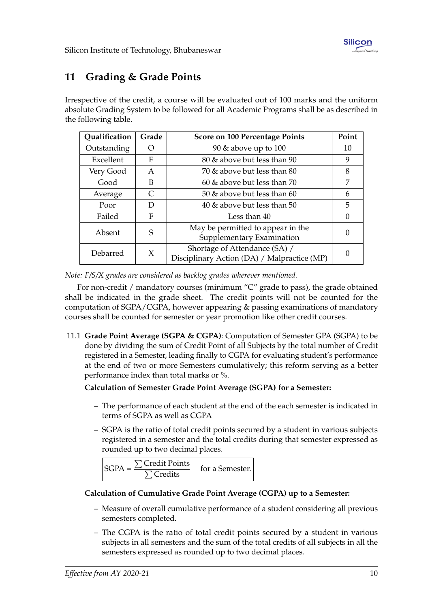# <span id="page-13-0"></span>**11 Grading & Grade Points**

Irrespective of the credit, a course will be evaluated out of 100 marks and the uniform absolute Grading System to be followed for all Academic Programs shall be as described in the following table.

| Qualification | Grade | Score on 100 Percentage Points                                               |          |
|---------------|-------|------------------------------------------------------------------------------|----------|
| Outstanding   |       | 90 $\&$ above up to 100                                                      |          |
| Excellent     | E     | 80 & above but less than 90                                                  |          |
| Very Good     | A     | 70 & above but less than 80                                                  |          |
| Good          | B     | 60 & above but less than 70                                                  | 7        |
| Average       |       | 50 $\&$ above but less than 60                                               | 6        |
| Poor          | D     | 40 $\&$ above but less than 50                                               | 5        |
| Failed<br>F   |       | Less than 40                                                                 | $\Omega$ |
| Absent        | S     | May be permitted to appear in the<br>Supplementary Examination               |          |
| X<br>Debarred |       | Shortage of Attendance (SA) /<br>Disciplinary Action (DA) / Malpractice (MP) |          |

*Note: F/S/X grades are considered as backlog grades wherever mentioned.*

For non-credit / mandatory courses (minimum "C" grade to pass), the grade obtained shall be indicated in the grade sheet. The credit points will not be counted for the computation of SGPA/CGPA, however appearing & passing examinations of mandatory courses shall be counted for semester or year promotion like other credit courses.

11.1 **Grade Point Average (SGPA & CGPA)**: Computation of Semester GPA (SGPA) to be done by dividing the sum of Credit Point of all Subjects by the total number of Credit registered in a Semester, leading finally to CGPA for evaluating student's performance at the end of two or more Semesters cumulatively; this reform serving as a better performance index than total marks or %.

#### **Calculation of Semester Grade Point Average (SGPA) for a Semester:**

- The performance of each student at the end of the each semester is indicated in terms of SGPA as well as CGPA
- SGPA is the ratio of total credit points secured by a student in various subjects registered in a semester and the total credits during that semester expressed as rounded up to two decimal places.

$$
SGPA = \frac{\sum Credit Points}{\sum Credits} \quad \text{for a Semester.}
$$

#### **Calculation of Cumulative Grade Point Average (CGPA) up to a Semester:**

- Measure of overall cumulative performance of a student considering all previous semesters completed.
- The CGPA is the ratio of total credit points secured by a student in various subjects in all semesters and the sum of the total credits of all subjects in all the semesters expressed as rounded up to two decimal places.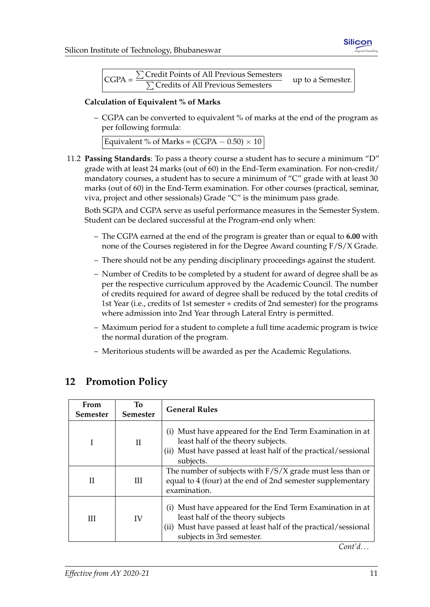

| $CGPA =$ | $\sum$ Credit Points of All Previous Semesters | up to a Semester. |
|----------|------------------------------------------------|-------------------|
|          | $\sum$ Credits of All Previous Semesters       |                   |

#### **Calculation of Equivalent % of Marks**

– CGPA can be converted to equivalent % of marks at the end of the program as per following formula:

11.2 **Passing Standards**: To pass a theory course a student has to secure a minimum "D" grade with at least 24 marks (out of 60) in the End-Term examination. For non-credit/ mandatory courses, a student has to secure a minimum of "C" grade with at least 30 marks (out of 60) in the End-Term examination. For other courses (practical, seminar, viva, project and other sessionals) Grade "C" is the minimum pass grade.

Both SGPA and CGPA serve as useful performance measures in the Semester System. Student can be declared successful at the Program-end only when:

- The CGPA earned at the end of the program is greater than or equal to **6.00** with none of the Courses registered in for the Degree Award counting F/S/X Grade.
- There should not be any pending disciplinary proceedings against the student.
- Number of Credits to be completed by a student for award of degree shall be as per the respective curriculum approved by the Academic Council. The number of credits required for award of degree shall be reduced by the total credits of 1st Year (i.e., credits of 1st semester + credits of 2nd semester) for the programs where admission into 2nd Year through Lateral Entry is permitted.
- Maximum period for a student to complete a full time academic program is twice the normal duration of the program.
- Meritorious students will be awarded as per the Academic Regulations.

| From<br><b>Semester</b> | <b>To</b><br><b>Semester</b> | <b>General Rules</b>                                                                                                                                                                          |
|-------------------------|------------------------------|-----------------------------------------------------------------------------------------------------------------------------------------------------------------------------------------------|
|                         | H                            | (i) Must have appeared for the End Term Examination in at<br>least half of the theory subjects.<br>(ii) Must have passed at least half of the practical/sessional<br>subjects.                |
| Н                       | Ш                            | The number of subjects with $F/S/X$ grade must less than or<br>equal to 4 (four) at the end of 2nd semester supplementary<br>examination.                                                     |
| Ш                       | IV                           | (i) Must have appeared for the End Term Examination in at<br>least half of the theory subjects<br>(ii) Must have passed at least half of the practical/sessional<br>subjects in 3rd semester. |

# <span id="page-14-0"></span>**12 Promotion Policy**

*Cont'd. . .*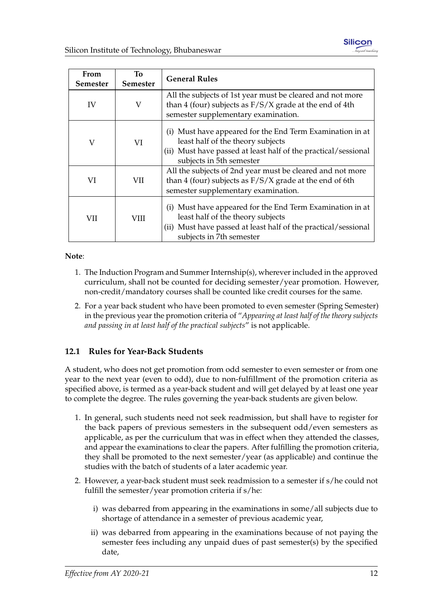

| From<br><b>Semester</b> | To<br>Semester | <b>General Rules</b>                                                                                                                                                                         |
|-------------------------|----------------|----------------------------------------------------------------------------------------------------------------------------------------------------------------------------------------------|
| IV                      | V              | All the subjects of 1st year must be cleared and not more<br>than 4 (four) subjects as $F/S/X$ grade at the end of 4th<br>semester supplementary examination.                                |
| V                       | VI             | (i) Must have appeared for the End Term Examination in at<br>least half of the theory subjects<br>(ii) Must have passed at least half of the practical/sessional<br>subjects in 5th semester |
| VI                      | VII            | All the subjects of 2nd year must be cleared and not more<br>than 4 (four) subjects as $F/S/X$ grade at the end of 6th<br>semester supplementary examination.                                |
| VII                     | VIII           | (i) Must have appeared for the End Term Examination in at<br>least half of the theory subjects<br>(ii) Must have passed at least half of the practical/sessional<br>subjects in 7th semester |

#### **Note**:

- 1. The Induction Program and Summer Internship(s), wherever included in the approved curriculum, shall not be counted for deciding semester/year promotion. However, non-credit/mandatory courses shall be counted like credit courses for the same.
- 2. For a year back student who have been promoted to even semester (Spring Semester) in the previous year the promotion criteria of "*Appearing at least half of the theory subjects and passing in at least half of the practical subjects*" is not applicable.

#### <span id="page-15-0"></span>**12.1 Rules for Year-Back Students**

A student, who does not get promotion from odd semester to even semester or from one year to the next year (even to odd), due to non-fulfillment of the promotion criteria as specified above, is termed as a year-back student and will get delayed by at least one year to complete the degree. The rules governing the year-back students are given below.

- 1. In general, such students need not seek readmission, but shall have to register for the back papers of previous semesters in the subsequent odd/even semesters as applicable, as per the curriculum that was in effect when they attended the classes, and appear the examinations to clear the papers. After fulfilling the promotion criteria, they shall be promoted to the next semester/year (as applicable) and continue the studies with the batch of students of a later academic year.
- 2. However, a year-back student must seek readmission to a semester if s/he could not fulfill the semester/year promotion criteria if s/he:
	- i) was debarred from appearing in the examinations in some/all subjects due to shortage of attendance in a semester of previous academic year,
	- ii) was debarred from appearing in the examinations because of not paying the semester fees including any unpaid dues of past semester(s) by the specified date,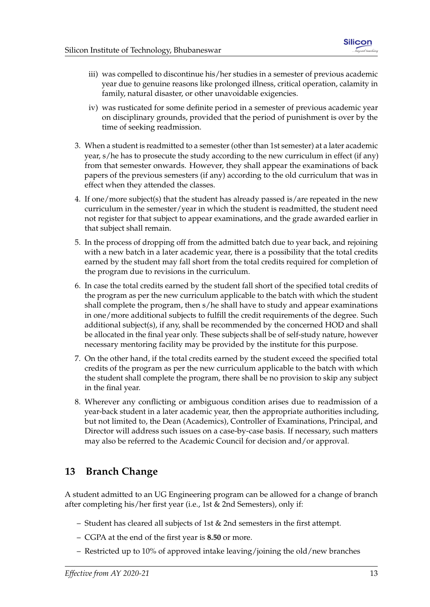- iii) was compelled to discontinue his/her studies in a semester of previous academic year due to genuine reasons like prolonged illness, critical operation, calamity in family, natural disaster, or other unavoidable exigencies.
- iv) was rusticated for some definite period in a semester of previous academic year on disciplinary grounds, provided that the period of punishment is over by the time of seeking readmission.
- 3. When a student is readmitted to a semester (other than 1st semester) at a later academic year, s/he has to prosecute the study according to the new curriculum in effect (if any) from that semester onwards. However, they shall appear the examinations of back papers of the previous semesters (if any) according to the old curriculum that was in effect when they attended the classes.
- 4. If one/more subject(s) that the student has already passed is/are repeated in the new curriculum in the semester/year in which the student is readmitted, the student need not register for that subject to appear examinations, and the grade awarded earlier in that subject shall remain.
- 5. In the process of dropping off from the admitted batch due to year back, and rejoining with a new batch in a later academic year, there is a possibility that the total credits earned by the student may fall short from the total credits required for completion of the program due to revisions in the curriculum.
- 6. In case the total credits earned by the student fall short of the specified total credits of the program as per the new curriculum applicable to the batch with which the student shall complete the program, then s/he shall have to study and appear examinations in one/more additional subjects to fulfill the credit requirements of the degree. Such additional subject(s), if any, shall be recommended by the concerned HOD and shall be allocated in the final year only. These subjects shall be of self-study nature, however necessary mentoring facility may be provided by the institute for this purpose.
- 7. On the other hand, if the total credits earned by the student exceed the specified total credits of the program as per the new curriculum applicable to the batch with which the student shall complete the program, there shall be no provision to skip any subject in the final year.
- 8. Wherever any conflicting or ambiguous condition arises due to readmission of a year-back student in a later academic year, then the appropriate authorities including, but not limited to, the Dean (Academics), Controller of Examinations, Principal, and Director will address such issues on a case-by-case basis. If necessary, such matters may also be referred to the Academic Council for decision and/or approval.

# <span id="page-16-0"></span>**13 Branch Change**

A student admitted to an UG Engineering program can be allowed for a change of branch after completing his/her first year (i.e., 1st & 2nd Semesters), only if:

- Student has cleared all subjects of 1st & 2nd semesters in the first attempt.
- CGPA at the end of the first year is **8.50** or more.
- Restricted up to 10% of approved intake leaving/joining the old/new branches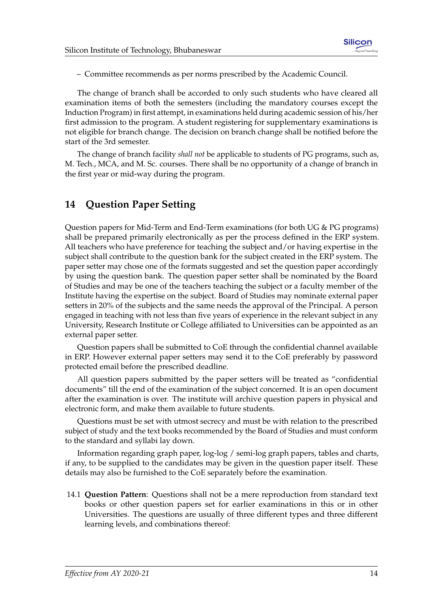– Committee recommends as per norms prescribed by the Academic Council.

The change of branch shall be accorded to only such students who have cleared all examination items of both the semesters (including the mandatory courses except the Induction Program) in first attempt, in examinations held during academic session of his/her first admission to the program. A student registering for supplementary examinations is not eligible for branch change. The decision on branch change shall be notified before the start of the 3rd semester.

The change of branch facility *shall not* be applicable to students of PG programs, such as, M. Tech., MCA, and M. Sc. courses. There shall be no opportunity of a change of branch in the first year or mid-way during the program.

## <span id="page-17-0"></span>**14 Question Paper Setting**

Question papers for Mid-Term and End-Term examinations (for both UG & PG programs) shall be prepared primarily electronically as per the process defined in the ERP system. All teachers who have preference for teaching the subject and/or having expertise in the subject shall contribute to the question bank for the subject created in the ERP system. The paper setter may chose one of the formats suggested and set the question paper accordingly by using the question bank. The question paper setter shall be nominated by the Board of Studies and may be one of the teachers teaching the subject or a faculty member of the Institute having the expertise on the subject. Board of Studies may nominate external paper setters in 20% of the subjects and the same needs the approval of the Principal. A person engaged in teaching with not less than five years of experience in the relevant subject in any University, Research Institute or College affiliated to Universities can be appointed as an external paper setter.

Question papers shall be submitted to CoE through the confidential channel available in ERP. However external paper setters may send it to the CoE preferably by password protected email before the prescribed deadline.

All question papers submitted by the paper setters will be treated as "confidential documents" till the end of the examination of the subject concerned. It is an open document after the examination is over. The institute will archive question papers in physical and electronic form, and make them available to future students.

Questions must be set with utmost secrecy and must be with relation to the prescribed subject of study and the text books recommended by the Board of Studies and must conform to the standard and syllabi lay down.

Information regarding graph paper, log-log / semi-log graph papers, tables and charts, if any, to be supplied to the candidates may be given in the question paper itself. These details may also be furnished to the CoE separately before the examination.

14.1 **Question Pattern**: Questions shall not be a mere reproduction from standard text books or other question papers set for earlier examinations in this or in other Universities. The questions are usually of three different types and three different learning levels, and combinations thereof: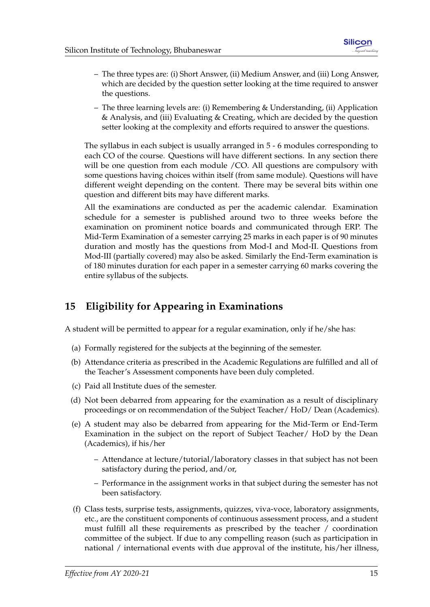- The three types are: (i) Short Answer, (ii) Medium Answer, and (iii) Long Answer, which are decided by the question setter looking at the time required to answer the questions.
- The three learning levels are: (i) Remembering & Understanding, (ii) Application & Analysis, and (iii) Evaluating & Creating, which are decided by the question setter looking at the complexity and efforts required to answer the questions.

The syllabus in each subject is usually arranged in 5 - 6 modules corresponding to each CO of the course. Questions will have different sections. In any section there will be one question from each module /CO. All questions are compulsory with some questions having choices within itself (from same module). Questions will have different weight depending on the content. There may be several bits within one question and different bits may have different marks.

All the examinations are conducted as per the academic calendar. Examination schedule for a semester is published around two to three weeks before the examination on prominent notice boards and communicated through ERP. The Mid-Term Examination of a semester carrying 25 marks in each paper is of 90 minutes duration and mostly has the questions from Mod-I and Mod-II. Questions from Mod-III (partially covered) may also be asked. Similarly the End-Term examination is of 180 minutes duration for each paper in a semester carrying 60 marks covering the entire syllabus of the subjects.

# <span id="page-18-0"></span>**15 Eligibility for Appearing in Examinations**

A student will be permitted to appear for a regular examination, only if he/she has:

- (a) Formally registered for the subjects at the beginning of the semester.
- (b) Attendance criteria as prescribed in the Academic Regulations are fulfilled and all of the Teacher's Assessment components have been duly completed.
- (c) Paid all Institute dues of the semester.
- (d) Not been debarred from appearing for the examination as a result of disciplinary proceedings or on recommendation of the Subject Teacher/ HoD/ Dean (Academics).
- (e) A student may also be debarred from appearing for the Mid-Term or End-Term Examination in the subject on the report of Subject Teacher/ HoD by the Dean (Academics), if his/her
	- Attendance at lecture/tutorial/laboratory classes in that subject has not been satisfactory during the period, and/or,
	- Performance in the assignment works in that subject during the semester has not been satisfactory.
- (f) Class tests, surprise tests, assignments, quizzes, viva-voce, laboratory assignments, etc., are the constituent components of continuous assessment process, and a student must fulfill all these requirements as prescribed by the teacher / coordination committee of the subject. If due to any compelling reason (such as participation in national / international events with due approval of the institute, his/her illness,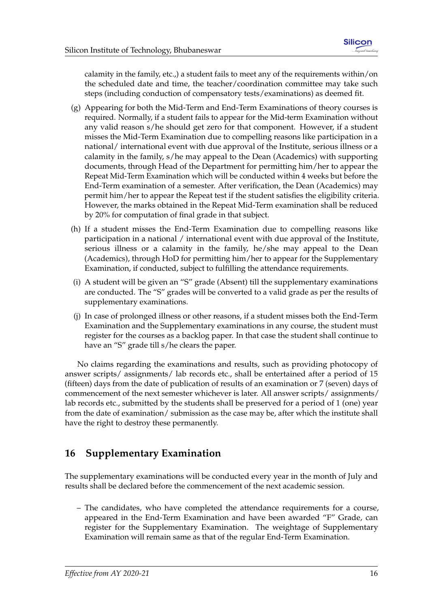calamity in the family, etc.,) a student fails to meet any of the requirements within/on the scheduled date and time, the teacher/coordination committee may take such steps (including conduction of compensatory tests/examinations) as deemed fit.

- (g) Appearing for both the Mid-Term and End-Term Examinations of theory courses is required. Normally, if a student fails to appear for the Mid-term Examination without any valid reason s/he should get zero for that component. However, if a student misses the Mid-Term Examination due to compelling reasons like participation in a national/ international event with due approval of the Institute, serious illness or a calamity in the family, s/he may appeal to the Dean (Academics) with supporting documents, through Head of the Department for permitting him/her to appear the Repeat Mid-Term Examination which will be conducted within 4 weeks but before the End-Term examination of a semester. After verification, the Dean (Academics) may permit him/her to appear the Repeat test if the student satisfies the eligibility criteria. However, the marks obtained in the Repeat Mid-Term examination shall be reduced by 20% for computation of final grade in that subject.
- (h) If a student misses the End-Term Examination due to compelling reasons like participation in a national / international event with due approval of the Institute, serious illness or a calamity in the family, he/she may appeal to the Dean (Academics), through HoD for permitting him/her to appear for the Supplementary Examination, if conducted, subject to fulfilling the attendance requirements.
- (i) A student will be given an "S" grade (Absent) till the supplementary examinations are conducted. The "S" grades will be converted to a valid grade as per the results of supplementary examinations.
- (j) In case of prolonged illness or other reasons, if a student misses both the End-Term Examination and the Supplementary examinations in any course, the student must register for the courses as a backlog paper. In that case the student shall continue to have an "S" grade till s/he clears the paper.

No claims regarding the examinations and results, such as providing photocopy of answer scripts/ assignments/ lab records etc., shall be entertained after a period of 15 (fifteen) days from the date of publication of results of an examination or 7 (seven) days of commencement of the next semester whichever is later. All answer scripts/ assignments/ lab records etc., submitted by the students shall be preserved for a period of 1 (one) year from the date of examination/ submission as the case may be, after which the institute shall have the right to destroy these permanently.

# <span id="page-19-0"></span>**16 Supplementary Examination**

The supplementary examinations will be conducted every year in the month of July and results shall be declared before the commencement of the next academic session.

– The candidates, who have completed the attendance requirements for a course, appeared in the End-Term Examination and have been awarded "F" Grade, can register for the Supplementary Examination. The weightage of Supplementary Examination will remain same as that of the regular End-Term Examination.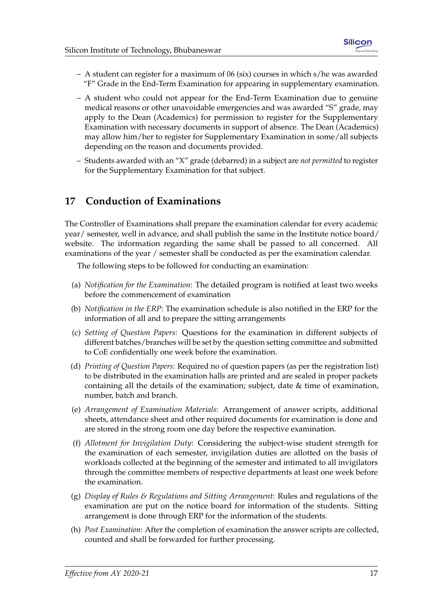- A student can register for a maximum of 06 (six) courses in which  $s$ /he was awarded "F" Grade in the End-Term Examination for appearing in supplementary examination.
- A student who could not appear for the End-Term Examination due to genuine medical reasons or other unavoidable emergencies and was awarded "S" grade, may apply to the Dean (Academics) for permission to register for the Supplementary Examination with necessary documents in support of absence. The Dean (Academics) may allow him/her to register for Supplementary Examination in some/all subjects depending on the reason and documents provided.
- Students awarded with an "X" grade (debarred) in a subject are *not permitted* to register for the Supplementary Examination for that subject.

# <span id="page-20-0"></span>**17 Conduction of Examinations**

The Controller of Examinations shall prepare the examination calendar for every academic year/ semester, well in advance, and shall publish the same in the Institute notice board/ website. The information regarding the same shall be passed to all concerned. All examinations of the year / semester shall be conducted as per the examination calendar.

The following steps to be followed for conducting an examination:

- (a) *Notification for the Examination*: The detailed program is notified at least two weeks before the commencement of examination
- (b) *Notification in the ERP*: The examination schedule is also notified in the ERP for the information of all and to prepare the sitting arrangements
- (c) *Setting of Question Papers*: Questions for the examination in different subjects of different batches/branches will be set by the question setting committee and submitted to CoE confidentially one week before the examination.
- (d) *Printing of Question Papers*: Required no of question papers (as per the registration list) to be distributed in the examination halls are printed and are sealed in proper packets containing all the details of the examination; subject, date & time of examination, number, batch and branch.
- (e) *Arrangement of Examination Materials*: Arrangement of answer scripts, additional sheets, attendance sheet and other required documents for examination is done and are stored in the strong room one day before the respective examination.
- (f) *Allotment for Invigilation Duty*: Considering the subject-wise student strength for the examination of each semester, invigilation duties are allotted on the basis of workloads collected at the beginning of the semester and intimated to all invigilators through the committee members of respective departments at least one week before the examination.
- (g) *Display of Rules & Regulations and Sitting Arrangement*: Rules and regulations of the examination are put on the notice board for information of the students. Sitting arrangement is done through ERP for the information of the students.
- (h) *Post Examination*: After the completion of examination the answer scripts are collected, counted and shall be forwarded for further processing.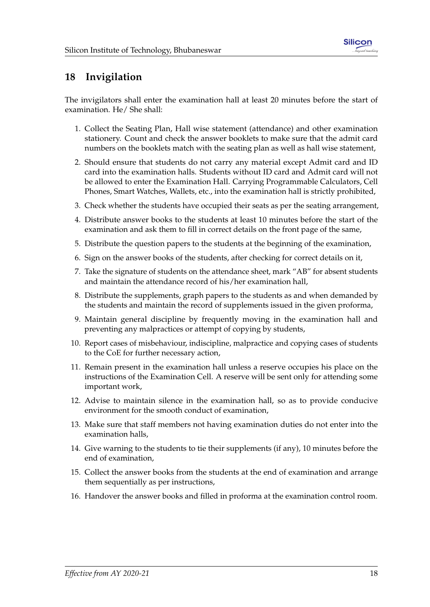# <span id="page-21-0"></span>**18 Invigilation**

The invigilators shall enter the examination hall at least 20 minutes before the start of examination. He/ She shall:

- 1. Collect the Seating Plan, Hall wise statement (attendance) and other examination stationery. Count and check the answer booklets to make sure that the admit card numbers on the booklets match with the seating plan as well as hall wise statement,
- 2. Should ensure that students do not carry any material except Admit card and ID card into the examination halls. Students without ID card and Admit card will not be allowed to enter the Examination Hall. Carrying Programmable Calculators, Cell Phones, Smart Watches, Wallets, etc., into the examination hall is strictly prohibited,
- 3. Check whether the students have occupied their seats as per the seating arrangement,
- 4. Distribute answer books to the students at least 10 minutes before the start of the examination and ask them to fill in correct details on the front page of the same,
- 5. Distribute the question papers to the students at the beginning of the examination,
- 6. Sign on the answer books of the students, after checking for correct details on it,
- 7. Take the signature of students on the attendance sheet, mark "AB" for absent students and maintain the attendance record of his/her examination hall,
- 8. Distribute the supplements, graph papers to the students as and when demanded by the students and maintain the record of supplements issued in the given proforma,
- 9. Maintain general discipline by frequently moving in the examination hall and preventing any malpractices or attempt of copying by students,
- 10. Report cases of misbehaviour, indiscipline, malpractice and copying cases of students to the CoE for further necessary action,
- 11. Remain present in the examination hall unless a reserve occupies his place on the instructions of the Examination Cell. A reserve will be sent only for attending some important work,
- 12. Advise to maintain silence in the examination hall, so as to provide conducive environment for the smooth conduct of examination,
- 13. Make sure that staff members not having examination duties do not enter into the examination halls,
- 14. Give warning to the students to tie their supplements (if any), 10 minutes before the end of examination,
- 15. Collect the answer books from the students at the end of examination and arrange them sequentially as per instructions,
- 16. Handover the answer books and filled in proforma at the examination control room.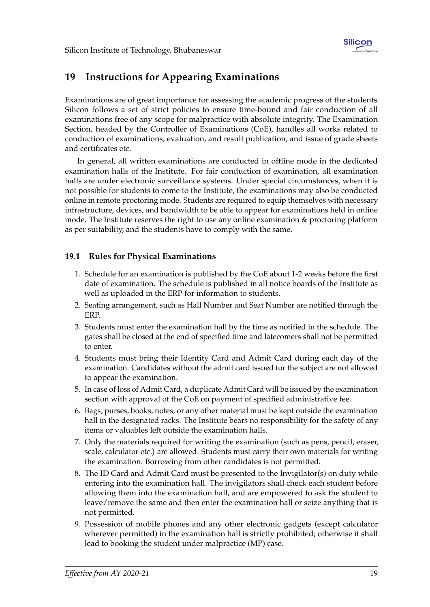

# <span id="page-22-0"></span>**19 Instructions for Appearing Examinations**

Examinations are of great importance for assessing the academic progress of the students. Silicon follows a set of strict policies to ensure time-bound and fair conduction of all examinations free of any scope for malpractice with absolute integrity. The Examination Section, headed by the Controller of Examinations (CoE), handles all works related to conduction of examinations, evaluation, and result publication, and issue of grade sheets and certificates etc.

In general, all written examinations are conducted in offline mode in the dedicated examination halls of the Institute. For fair conduction of examination, all examination halls are under electronic surveillance systems. Under special circumstances, when it is not possible for students to come to the Institute, the examinations may also be conducted online in remote proctoring mode. Students are required to equip themselves with necessary infrastructure, devices, and bandwidth to be able to appear for examinations held in online mode. The Institute reserves the right to use any online examination & proctoring platform as per suitability, and the students have to comply with the same.

#### <span id="page-22-1"></span>**19.1 Rules for Physical Examinations**

- 1. Schedule for an examination is published by the CoE about 1-2 weeks before the first date of examination. The schedule is published in all notice boards of the Institute as well as uploaded in the ERP for information to students.
- 2. Seating arrangement, such as Hall Number and Seat Number are notified through the ERP.
- 3. Students must enter the examination hall by the time as notified in the schedule. The gates shall be closed at the end of specified time and latecomers shall not be permitted to enter.
- 4. Students must bring their Identity Card and Admit Card during each day of the examination. Candidates without the admit card issued for the subject are not allowed to appear the examination.
- 5. In case of loss of Admit Card, a duplicate Admit Card will be issued by the examination section with approval of the CoE on payment of specified administrative fee.
- 6. Bags, purses, books, notes, or any other material must be kept outside the examination hall in the designated racks. The Institute bears no responsibility for the safety of any items or valuables left outside the examination halls.
- 7. Only the materials required for writing the examination (such as pens, pencil, eraser, scale, calculator etc.) are allowed. Students must carry their own materials for writing the examination. Borrowing from other candidates is not permitted.
- 8. The ID Card and Admit Card must be presented to the Invigilator(s) on duty while entering into the examination hall. The invigilators shall check each student before allowing them into the examination hall, and are empowered to ask the student to leave/remove the same and then enter the examination hall or seize anything that is not permitted.
- 9. Possession of mobile phones and any other electronic gadgets (except calculator wherever permitted) in the examination hall is strictly prohibited; otherwise it shall lead to booking the student under malpractice (MP) case.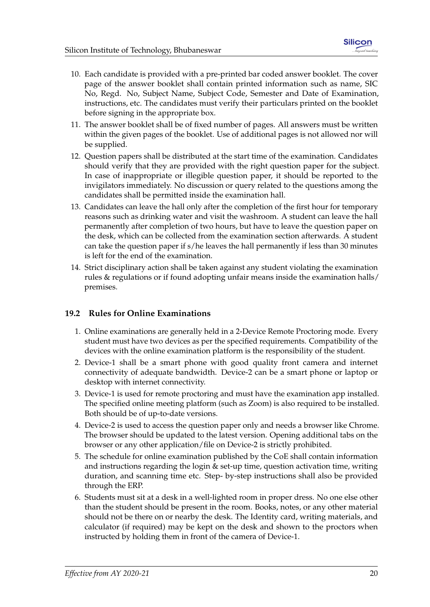- 10. Each candidate is provided with a pre-printed bar coded answer booklet. The cover page of the answer booklet shall contain printed information such as name, SIC No, Regd. No, Subject Name, Subject Code, Semester and Date of Examination, instructions, etc. The candidates must verify their particulars printed on the booklet before signing in the appropriate box.
- 11. The answer booklet shall be of fixed number of pages. All answers must be written within the given pages of the booklet. Use of additional pages is not allowed nor will be supplied.
- 12. Question papers shall be distributed at the start time of the examination. Candidates should verify that they are provided with the right question paper for the subject. In case of inappropriate or illegible question paper, it should be reported to the invigilators immediately. No discussion or query related to the questions among the candidates shall be permitted inside the examination hall.
- 13. Candidates can leave the hall only after the completion of the first hour for temporary reasons such as drinking water and visit the washroom. A student can leave the hall permanently after completion of two hours, but have to leave the question paper on the desk, which can be collected from the examination section afterwards. A student can take the question paper if s/he leaves the hall permanently if less than 30 minutes is left for the end of the examination.
- 14. Strict disciplinary action shall be taken against any student violating the examination rules & regulations or if found adopting unfair means inside the examination halls/ premises.

#### <span id="page-23-0"></span>**19.2 Rules for Online Examinations**

- 1. Online examinations are generally held in a 2-Device Remote Proctoring mode. Every student must have two devices as per the specified requirements. Compatibility of the devices with the online examination platform is the responsibility of the student.
- 2. Device-1 shall be a smart phone with good quality front camera and internet connectivity of adequate bandwidth. Device-2 can be a smart phone or laptop or desktop with internet connectivity.
- 3. Device-1 is used for remote proctoring and must have the examination app installed. The specified online meeting platform (such as Zoom) is also required to be installed. Both should be of up-to-date versions.
- 4. Device-2 is used to access the question paper only and needs a browser like Chrome. The browser should be updated to the latest version. Opening additional tabs on the browser or any other application/file on Device-2 is strictly prohibited.
- 5. The schedule for online examination published by the CoE shall contain information and instructions regarding the login & set-up time, question activation time, writing duration, and scanning time etc. Step- by-step instructions shall also be provided through the ERP.
- 6. Students must sit at a desk in a well-lighted room in proper dress. No one else other than the student should be present in the room. Books, notes, or any other material should not be there on or nearby the desk. The Identity card, writing materials, and calculator (if required) may be kept on the desk and shown to the proctors when instructed by holding them in front of the camera of Device-1.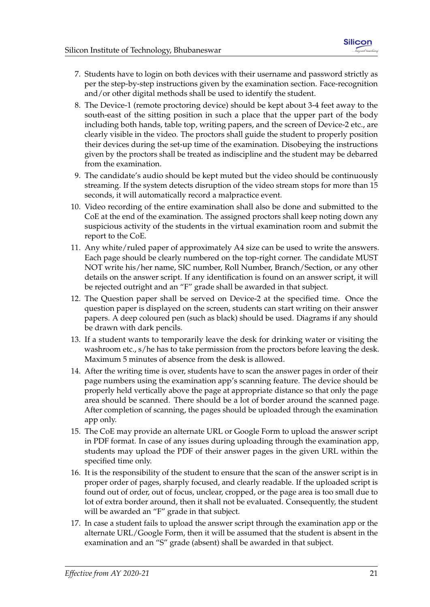- 7. Students have to login on both devices with their username and password strictly as per the step-by-step instructions given by the examination section. Face-recognition and/or other digital methods shall be used to identify the student.
- 8. The Device-1 (remote proctoring device) should be kept about 3-4 feet away to the south-east of the sitting position in such a place that the upper part of the body including both hands, table top, writing papers, and the screen of Device-2 etc., are clearly visible in the video. The proctors shall guide the student to properly position their devices during the set-up time of the examination. Disobeying the instructions given by the proctors shall be treated as indiscipline and the student may be debarred from the examination.
- 9. The candidate's audio should be kept muted but the video should be continuously streaming. If the system detects disruption of the video stream stops for more than 15 seconds, it will automatically record a malpractice event.
- 10. Video recording of the entire examination shall also be done and submitted to the CoE at the end of the examination. The assigned proctors shall keep noting down any suspicious activity of the students in the virtual examination room and submit the report to the CoE.
- 11. Any white/ruled paper of approximately A4 size can be used to write the answers. Each page should be clearly numbered on the top-right corner. The candidate MUST NOT write his/her name, SIC number, Roll Number, Branch/Section, or any other details on the answer script. If any identification is found on an answer script, it will be rejected outright and an "F" grade shall be awarded in that subject.
- 12. The Question paper shall be served on Device-2 at the specified time. Once the question paper is displayed on the screen, students can start writing on their answer papers. A deep coloured pen (such as black) should be used. Diagrams if any should be drawn with dark pencils.
- 13. If a student wants to temporarily leave the desk for drinking water or visiting the washroom etc., s/he has to take permission from the proctors before leaving the desk. Maximum 5 minutes of absence from the desk is allowed.
- 14. After the writing time is over, students have to scan the answer pages in order of their page numbers using the examination app's scanning feature. The device should be properly held vertically above the page at appropriate distance so that only the page area should be scanned. There should be a lot of border around the scanned page. After completion of scanning, the pages should be uploaded through the examination app only.
- 15. The CoE may provide an alternate URL or Google Form to upload the answer script in PDF format. In case of any issues during uploading through the examination app, students may upload the PDF of their answer pages in the given URL within the specified time only.
- 16. It is the responsibility of the student to ensure that the scan of the answer script is in proper order of pages, sharply focused, and clearly readable. If the uploaded script is found out of order, out of focus, unclear, cropped, or the page area is too small due to lot of extra border around, then it shall not be evaluated. Consequently, the student will be awarded an "F" grade in that subject.
- 17. In case a student fails to upload the answer script through the examination app or the alternate URL/Google Form, then it will be assumed that the student is absent in the examination and an "S" grade (absent) shall be awarded in that subject.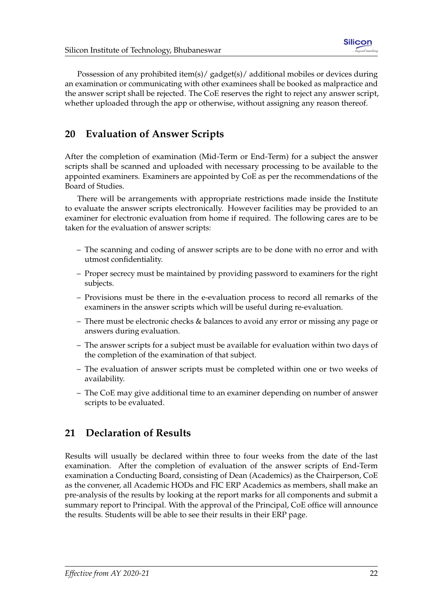Possession of any prohibited item(s)/ gadget(s)/ additional mobiles or devices during an examination or communicating with other examinees shall be booked as malpractice and the answer script shall be rejected. The CoE reserves the right to reject any answer script, whether uploaded through the app or otherwise, without assigning any reason thereof.

# <span id="page-25-0"></span>**20 Evaluation of Answer Scripts**

After the completion of examination (Mid-Term or End-Term) for a subject the answer scripts shall be scanned and uploaded with necessary processing to be available to the appointed examiners. Examiners are appointed by CoE as per the recommendations of the Board of Studies.

There will be arrangements with appropriate restrictions made inside the Institute to evaluate the answer scripts electronically. However facilities may be provided to an examiner for electronic evaluation from home if required. The following cares are to be taken for the evaluation of answer scripts:

- The scanning and coding of answer scripts are to be done with no error and with utmost confidentiality.
- Proper secrecy must be maintained by providing password to examiners for the right subjects.
- Provisions must be there in the e-evaluation process to record all remarks of the examiners in the answer scripts which will be useful during re-evaluation.
- There must be electronic checks & balances to avoid any error or missing any page or answers during evaluation.
- The answer scripts for a subject must be available for evaluation within two days of the completion of the examination of that subject.
- The evaluation of answer scripts must be completed within one or two weeks of availability.
- The CoE may give additional time to an examiner depending on number of answer scripts to be evaluated.

# <span id="page-25-1"></span>**21 Declaration of Results**

Results will usually be declared within three to four weeks from the date of the last examination. After the completion of evaluation of the answer scripts of End-Term examination a Conducting Board, consisting of Dean (Academics) as the Chairperson, CoE as the convener, all Academic HODs and FIC ERP Academics as members, shall make an pre-analysis of the results by looking at the report marks for all components and submit a summary report to Principal. With the approval of the Principal, CoE office will announce the results. Students will be able to see their results in their ERP page.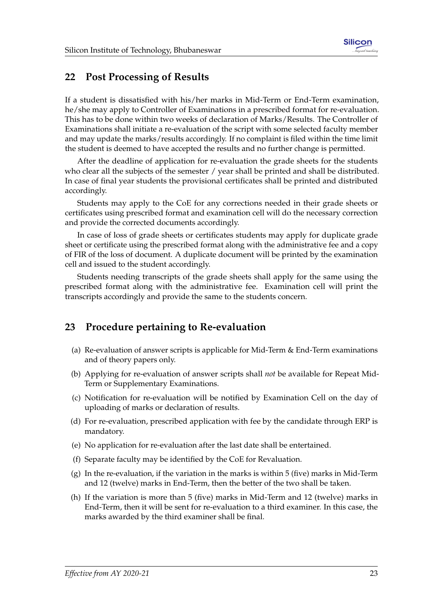### <span id="page-26-0"></span>**22 Post Processing of Results**

If a student is dissatisfied with his/her marks in Mid-Term or End-Term examination, he/she may apply to Controller of Examinations in a prescribed format for re-evaluation. This has to be done within two weeks of declaration of Marks/Results. The Controller of Examinations shall initiate a re-evaluation of the script with some selected faculty member and may update the marks/results accordingly. If no complaint is filed within the time limit the student is deemed to have accepted the results and no further change is permitted.

After the deadline of application for re-evaluation the grade sheets for the students who clear all the subjects of the semester / year shall be printed and shall be distributed. In case of final year students the provisional certificates shall be printed and distributed accordingly.

Students may apply to the CoE for any corrections needed in their grade sheets or certificates using prescribed format and examination cell will do the necessary correction and provide the corrected documents accordingly.

In case of loss of grade sheets or certificates students may apply for duplicate grade sheet or certificate using the prescribed format along with the administrative fee and a copy of FIR of the loss of document. A duplicate document will be printed by the examination cell and issued to the student accordingly.

Students needing transcripts of the grade sheets shall apply for the same using the prescribed format along with the administrative fee. Examination cell will print the transcripts accordingly and provide the same to the students concern.

### <span id="page-26-1"></span>**23 Procedure pertaining to Re-evaluation**

- (a) Re-evaluation of answer scripts is applicable for Mid-Term & End-Term examinations and of theory papers only.
- (b) Applying for re-evaluation of answer scripts shall *not* be available for Repeat Mid-Term or Supplementary Examinations.
- (c) Notification for re-evaluation will be notified by Examination Cell on the day of uploading of marks or declaration of results.
- (d) For re-evaluation, prescribed application with fee by the candidate through ERP is mandatory.
- (e) No application for re-evaluation after the last date shall be entertained.
- (f) Separate faculty may be identified by the CoE for Revaluation.
- (g) In the re-evaluation, if the variation in the marks is within 5 (five) marks in Mid-Term and 12 (twelve) marks in End-Term, then the better of the two shall be taken.
- (h) If the variation is more than 5 (five) marks in Mid-Term and 12 (twelve) marks in End-Term, then it will be sent for re-evaluation to a third examiner. In this case, the marks awarded by the third examiner shall be final.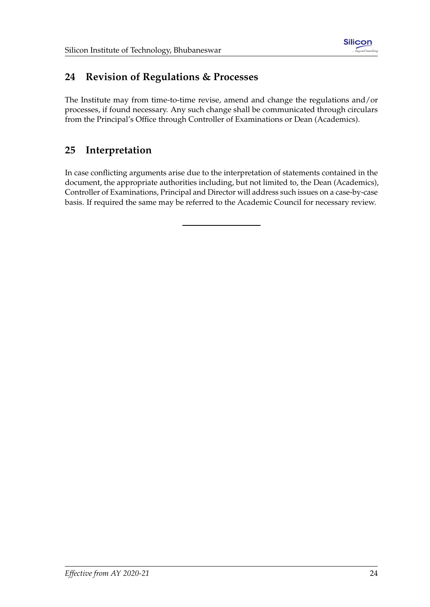

# <span id="page-27-0"></span>**24 Revision of Regulations & Processes**

The Institute may from time-to-time revise, amend and change the regulations and/or processes, if found necessary. Any such change shall be communicated through circulars from the Principal's Office through Controller of Examinations or Dean (Academics).

# <span id="page-27-1"></span>**25 Interpretation**

In case conflicting arguments arise due to the interpretation of statements contained in the document, the appropriate authorities including, but not limited to, the Dean (Academics), Controller of Examinations, Principal and Director will address such issues on a case-by-case basis. If required the same may be referred to the Academic Council for necessary review.